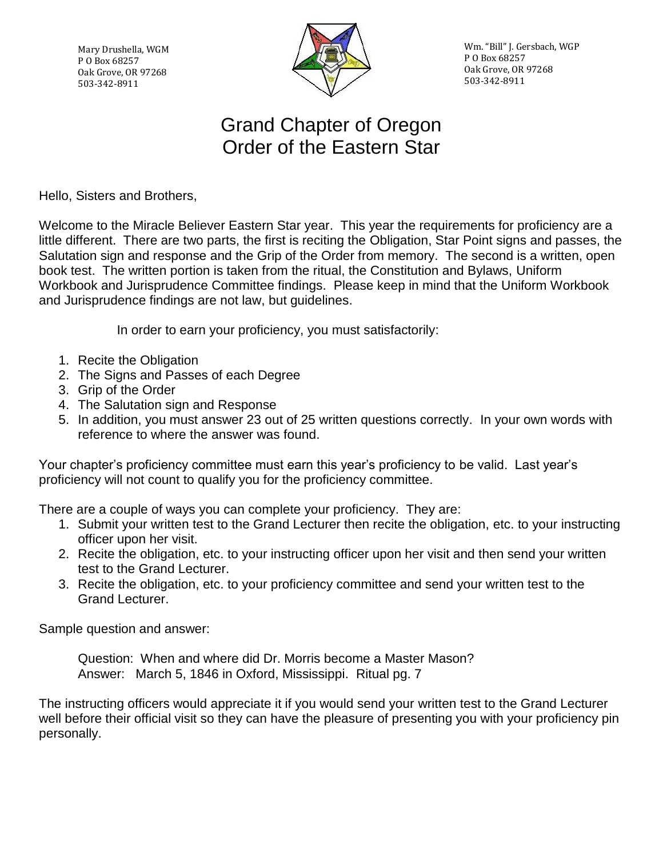Mary Drushella, WGM P O Box 68257 Oak Grove, OR 97268 503-342-8911



Wm. "Bill" J. Gersbach, WGP P O Box 68257 Oak Grove, OR 97268 503-342-8911

## Grand Chapter of Oregon Order of the Eastern Star

Hello, Sisters and Brothers,

Welcome to the Miracle Believer Eastern Star year. This year the requirements for proficiency are a little different. There are two parts, the first is reciting the Obligation, Star Point signs and passes, the Salutation sign and response and the Grip of the Order from memory. The second is a written, open book test. The written portion is taken from the ritual, the Constitution and Bylaws, Uniform Workbook and Jurisprudence Committee findings. Please keep in mind that the Uniform Workbook and Jurisprudence findings are not law, but guidelines.

In order to earn your proficiency, you must satisfactorily:

- 1. Recite the Obligation
- 2. The Signs and Passes of each Degree
- 3. Grip of the Order
- 4. The Salutation sign and Response
- 5. In addition, you must answer 23 out of 25 written questions correctly. In your own words with reference to where the answer was found.

Your chapter's proficiency committee must earn this year's proficiency to be valid. Last year's proficiency will not count to qualify you for the proficiency committee.

There are a couple of ways you can complete your proficiency. They are:

- 1. Submit your written test to the Grand Lecturer then recite the obligation, etc. to your instructing officer upon her visit.
- 2. Recite the obligation, etc. to your instructing officer upon her visit and then send your written test to the Grand Lecturer.
- 3. Recite the obligation, etc. to your proficiency committee and send your written test to the Grand Lecturer.

Sample question and answer:

Question: When and where did Dr. Morris become a Master Mason? Answer: March 5, 1846 in Oxford, Mississippi. Ritual pg. 7

The instructing officers would appreciate it if you would send your written test to the Grand Lecturer well before their official visit so they can have the pleasure of presenting you with your proficiency pin personally.